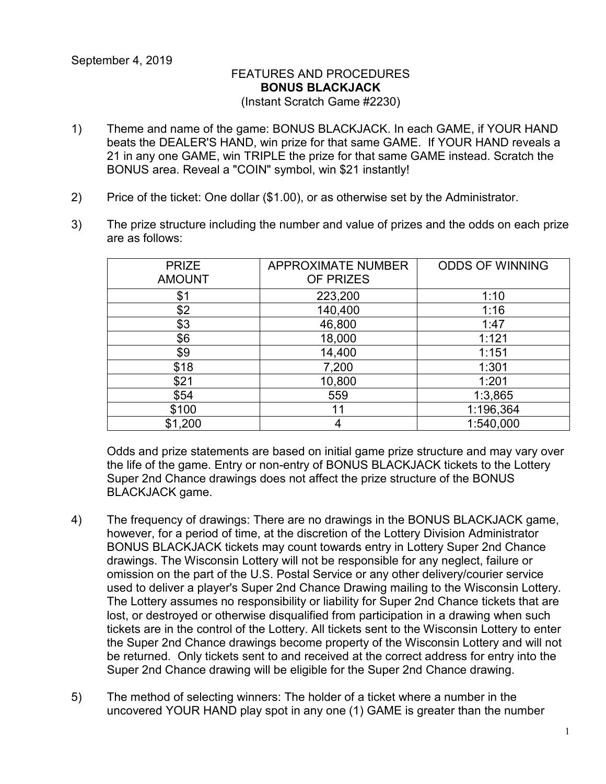## FEATURES AND PROCEDURES **BONUS BLACKJACK** (Instant Scratch Game #2230)

- 1) Theme and name of the game: BONUS BLACKJACK. In each GAME, if YOUR HAND beats the DEALER'S HAND, win prize for that same GAME. If YOUR HAND reveals a 21 in any one GAME, win TRIPLE the prize for that same GAME instead. Scratch the BONUS area. Reveal a "COIN" symbol, win \$21 instantly!
- 2) Price of the ticket: One dollar (\$1.00), or as otherwise set by the Administrator.
- 3) The prize structure including the number and value of prizes and the odds on each prize are as follows:

| <b>PRIZE</b><br><b>AMOUNT</b> | <b>APPROXIMATE NUMBER</b><br>OF PRIZES | <b>ODDS OF WINNING</b> |
|-------------------------------|----------------------------------------|------------------------|
| \$1                           | 223,200                                | 1:10                   |
| \$2                           | 140,400                                | 1:16                   |
| \$3                           | 46,800                                 | 1:47                   |
| \$6                           | 18,000                                 | 1:121                  |
| \$9                           | 14,400                                 | 1:151                  |
| \$18                          | 7,200                                  | 1:301                  |
| \$21                          | 10,800                                 | 1:201                  |
| \$54                          | 559                                    | 1:3,865                |
| \$100                         | 11                                     | 1:196,364              |
| \$1,200                       | 4                                      | 1:540,000              |

Odds and prize statements are based on initial game prize structure and may vary over the life of the game. Entry or non-entry of BONUS BLACKJACK tickets to the Lottery Super 2nd Chance drawings does not affect the prize structure of the BONUS BLACKJACK game.

- 4) The frequency of drawings: There are no drawings in the BONUS BLACKJACK game, however, for a period of time, at the discretion of the Lottery Division Administrator BONUS BLACKJACK tickets may count towards entry in Lottery Super 2nd Chance drawings. The Wisconsin Lottery will not be responsible for any neglect, failure or omission on the part of the U.S. Postal Service or any other delivery/courier service used to deliver a player's Super 2nd Chance Drawing mailing to the Wisconsin Lottery. The Lottery assumes no responsibility or liability for Super 2nd Chance tickets that are lost, or destroyed or otherwise disqualified from participation in a drawing when such tickets are in the control of the Lottery. All tickets sent to the Wisconsin Lottery to enter the Super 2nd Chance drawings become property of the Wisconsin Lottery and will not be returned. Only tickets sent to and received at the correct address for entry into the Super 2nd Chance drawing will be eligible for the Super 2nd Chance drawing.
- 5) The method of selecting winners: The holder of a ticket where a number in the uncovered YOUR HAND play spot in any one (1) GAME is greater than the number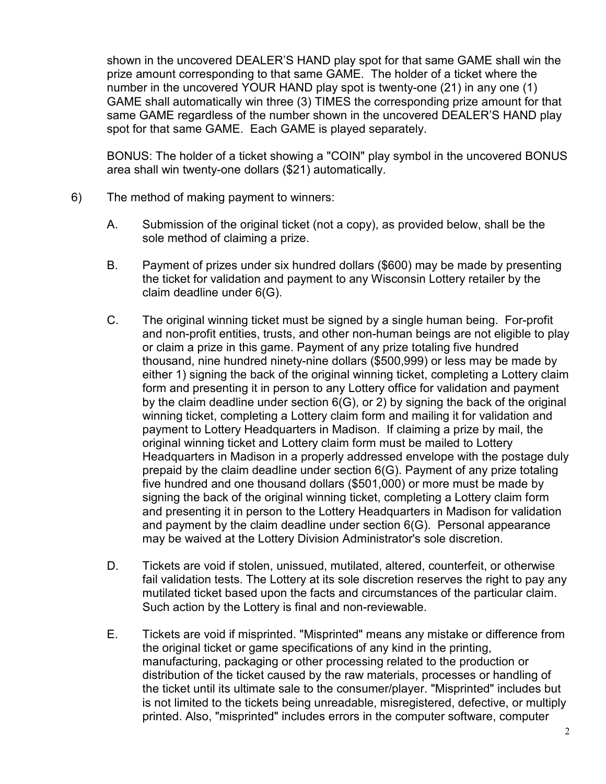shown in the uncovered DEALER'S HAND play spot for that same GAME shall win the prize amount corresponding to that same GAME. The holder of a ticket where the number in the uncovered YOUR HAND play spot is twenty-one (21) in any one (1) GAME shall automatically win three (3) TIMES the corresponding prize amount for that same GAME regardless of the number shown in the uncovered DEALER'S HAND play spot for that same GAME. Each GAME is played separately.

BONUS: The holder of a ticket showing a "COIN" play symbol in the uncovered BONUS area shall win twenty-one dollars (\$21) automatically.

- 6) The method of making payment to winners:
	- A. Submission of the original ticket (not a copy), as provided below, shall be the sole method of claiming a prize.
	- B. Payment of prizes under six hundred dollars (\$600) may be made by presenting the ticket for validation and payment to any Wisconsin Lottery retailer by the claim deadline under 6(G).
	- C. The original winning ticket must be signed by a single human being. For-profit and non-profit entities, trusts, and other non-human beings are not eligible to play or claim a prize in this game. Payment of any prize totaling five hundred thousand, nine hundred ninety-nine dollars (\$500,999) or less may be made by either 1) signing the back of the original winning ticket, completing a Lottery claim form and presenting it in person to any Lottery office for validation and payment by the claim deadline under section 6(G), or 2) by signing the back of the original winning ticket, completing a Lottery claim form and mailing it for validation and payment to Lottery Headquarters in Madison. If claiming a prize by mail, the original winning ticket and Lottery claim form must be mailed to Lottery Headquarters in Madison in a properly addressed envelope with the postage duly prepaid by the claim deadline under section 6(G). Payment of any prize totaling five hundred and one thousand dollars (\$501,000) or more must be made by signing the back of the original winning ticket, completing a Lottery claim form and presenting it in person to the Lottery Headquarters in Madison for validation and payment by the claim deadline under section 6(G). Personal appearance may be waived at the Lottery Division Administrator's sole discretion.
	- D. Tickets are void if stolen, unissued, mutilated, altered, counterfeit, or otherwise fail validation tests. The Lottery at its sole discretion reserves the right to pay any mutilated ticket based upon the facts and circumstances of the particular claim. Such action by the Lottery is final and non-reviewable.
	- E. Tickets are void if misprinted. "Misprinted" means any mistake or difference from the original ticket or game specifications of any kind in the printing, manufacturing, packaging or other processing related to the production or distribution of the ticket caused by the raw materials, processes or handling of the ticket until its ultimate sale to the consumer/player. "Misprinted" includes but is not limited to the tickets being unreadable, misregistered, defective, or multiply printed. Also, "misprinted" includes errors in the computer software, computer